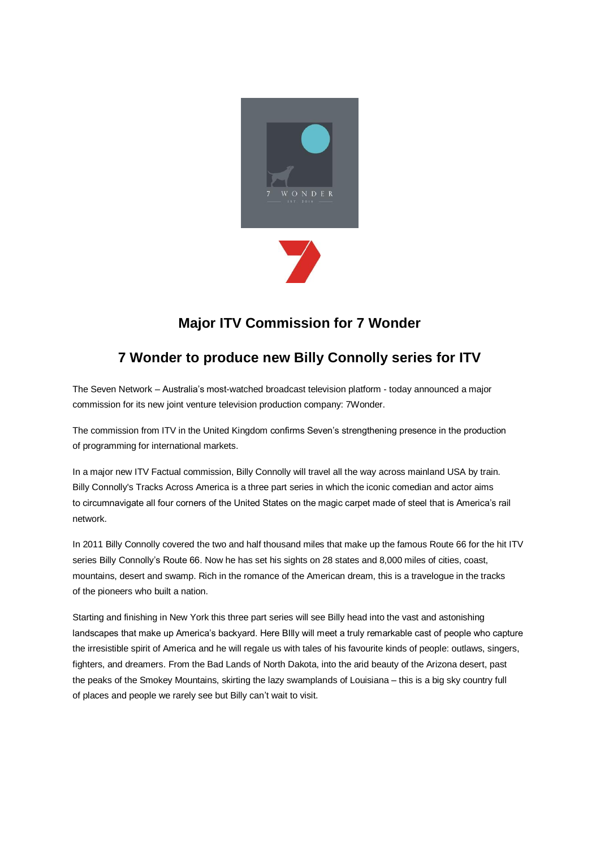

## **Major ITV Commission for 7 Wonder**

## **7 Wonder to produce new Billy Connolly series for ITV**

The Seven Network – Australia's most-watched broadcast television platform - today announced a major commission for its new joint venture television production company: 7Wonder.

The commission from ITV in the United Kingdom confirms Seven's strengthening presence in the production of programming for international markets.

In a major new ITV Factual commission, Billy Connolly will travel all the way across mainland USA by train. Billy Connolly's Tracks Across America is a three part series in which the iconic comedian and actor aims to circumnavigate all four corners of the United States on the magic carpet made of steel that is America's rail network.

In 2011 Billy Connolly covered the two and half thousand miles that make up the famous Route 66 for the hit ITV series Billy Connolly's Route 66. Now he has set his sights on 28 states and 8,000 miles of cities, coast, mountains, desert and swamp. Rich in the romance of the American dream, this is a travelogue in the tracks of the pioneers who built a nation.

Starting and finishing in New York this three part series will see Billy head into the vast and astonishing landscapes that make up America's backyard. Here BIlly will meet a truly remarkable cast of people who capture the irresistible spirit of America and he will regale us with tales of his favourite kinds of people: outlaws, singers, fighters, and dreamers. From the Bad Lands of North Dakota, into the arid beauty of the Arizona desert, past the peaks of the Smokey Mountains, skirting the lazy swamplands of Louisiana – this is a big sky country full of places and people we rarely see but Billy can't wait to visit.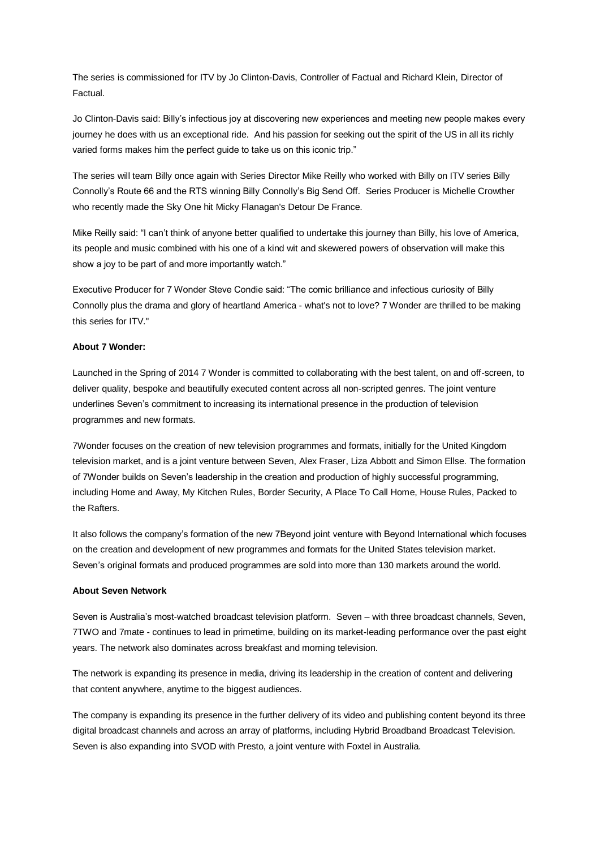The series is commissioned for ITV by Jo Clinton-Davis, Controller of Factual and Richard Klein, Director of Factual.

Jo Clinton-Davis said: Billy's infectious joy at discovering new experiences and meeting new people makes every journey he does with us an exceptional ride. And his passion for seeking out the spirit of the US in all its richly varied forms makes him the perfect guide to take us on this iconic trip."

The series will team Billy once again with Series Director Mike Reilly who worked with Billy on ITV series Billy Connolly's Route 66 and the RTS winning Billy Connolly's Big Send Off. Series Producer is Michelle Crowther who recently made the Sky One hit Micky Flanagan's Detour De France.

Mike Reilly said: "I can't think of anyone better qualified to undertake this journey than Billy, his love of America, its people and music combined with his one of a kind wit and skewered powers of observation will make this show a joy to be part of and more importantly watch."

Executive Producer for 7 Wonder Steve Condie said: "The comic brilliance and infectious curiosity of Billy Connolly plus the drama and glory of heartland America - what's not to love? 7 Wonder are thrilled to be making this series for ITV."

## **About 7 Wonder:**

Launched in the Spring of 2014 7 Wonder is committed to collaborating with the best talent, on and off-screen, to deliver quality, bespoke and beautifully executed content across all non-scripted genres. The joint venture underlines Seven's commitment to increasing its international presence in the production of television programmes and new formats.

7Wonder focuses on the creation of new television programmes and formats, initially for the United Kingdom television market, and is a joint venture between Seven, Alex Fraser, Liza Abbott and Simon Ellse. The formation of 7Wonder builds on Seven's leadership in the creation and production of highly successful programming, including Home and Away, My Kitchen Rules, Border Security, A Place To Call Home, House Rules, Packed to the Rafters.

It also follows the company's formation of the new 7Beyond joint venture with Beyond International which focuses on the creation and development of new programmes and formats for the United States television market. Seven's original formats and produced programmes are sold into more than 130 markets around the world.

## **About Seven Network**

Seven is Australia's most-watched broadcast television platform. Seven – with three broadcast channels, Seven, 7TWO and 7mate - continues to lead in primetime, building on its market-leading performance over the past eight years. The network also dominates across breakfast and morning television.

The network is expanding its presence in media, driving its leadership in the creation of content and delivering that content anywhere, anytime to the biggest audiences.

The company is expanding its presence in the further delivery of its video and publishing content beyond its three digital broadcast channels and across an array of platforms, including Hybrid Broadband Broadcast Television. Seven is also expanding into SVOD with Presto, a joint venture with Foxtel in Australia.